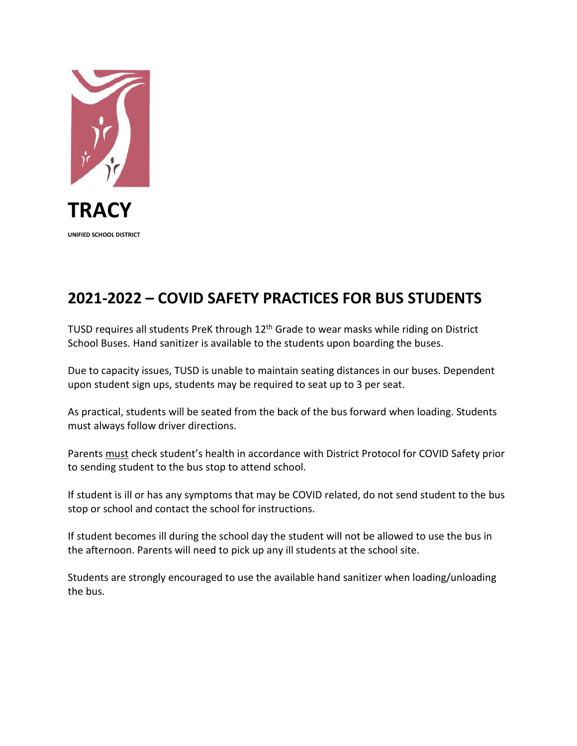

## **2021-2022 – COVID SAFETY PRACTICES FOR BUS STUDENTS**

TUSD requires all students PreK through 12<sup>th</sup> Grade to wear masks while riding on District School Buses. Hand sanitizer is available to the students upon boarding the buses.

Due to capacity issues, TUSD is unable to maintain seating distances in our buses. Dependent upon student sign ups, students may be required to seat up to 3 per seat.

As practical, students will be seated from the back of the bus forward when loading. Students must always follow driver directions.

Parents must check student's health in accordance with District Protocol for COVID Safety prior to sending student to the bus stop to attend school.

If student is ill or has any symptoms that may be COVID related, do not send student to the bus stop or school and contact the school for instructions.

If student becomes ill during the school day the student will not be allowed to use the bus in the afternoon. Parents will need to pick up any ill students at the school site.

Students are strongly encouraged to use the available hand sanitizer when loading/unloading the bus.